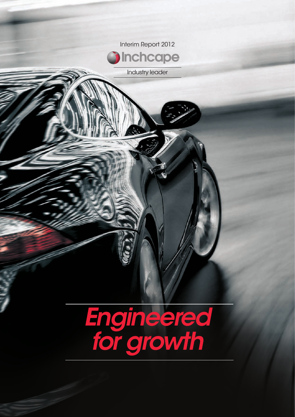

Industry leader

# *Engineered*  for growth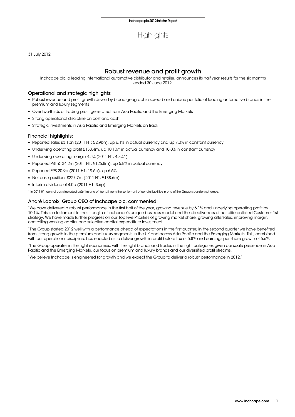# **Highlights**

31 July 2012

## Robust revenue and profit growth

Inchcape plc, a leading international automotive distributor and retailer, announces its half year results for the six months ended 30 June 2012.

## Operational and strategic highlights:

- Robust revenue and profit growth driven by broad geographic spread and unique portfolio of leading automotive brands in the premium and luxury segments
- Over two-thirds of trading profit generated from Asia Pacific and the Emerging Markets
- Strong operational discipline on cost and cash
- Strategic investments in Asia Pacific and Emerging Markets on track

## Financial highlights:

- Reported sales £3.1bn (2011 H1: £2.9bn), up 6.1% in actual currency and up 7.0% in constant currency
- Underlying operating profit £138.4m, up 10.1%\* in actual currency and 10.0% in constant currency
- Underlying operating margin 4.5% (2011 H1: 4.3%\*)
- Reported PBT £134.2m (2011 H1: £126.8m), up 5.8% in actual currency
- Reported EPS 20.9p (2011 H1: 19.6p), up 6.6%
- Net cash position: £227.7m (2011 H1: £188.6m)
- Interim dividend of 4.0p (2011 H1: 3.6p)

\* In 2011 H1, central costs included a £6.1m one off benefit from the settlement of certain liabilities in one of the Group's pension schemes.

## André Lacroix, Group CEO of Inchcape plc, commented:

"We have delivered a robust performance in the first half of the year, growing revenue by 6.1% and underlying operating profit by 10.1%. This is a testament to the strength of Inchcape's unique business model and the effectiveness of our differentiated Customer 1st strategy. We have made further progress on our Top Five Priorities of growing market share, growing aftersales, improving margin, controlling working capital and selective capital expenditure investment.

"The Group started 2012 well with a performance ahead of expectations in the first quarter; in the second quarter we have benefited from strong growth in the premium and luxury segments in the UK and across Asia Pacific and the Emerging Markets. This, combined with our operational discipline, has enabled us to deliver growth in profit before tax of 5.8% and earnings per share growth of 6.6%.

"The Group operates in the right economies, with the right brands and trades in the right categories given our scale presence in Asia Pacific and the Emerging Markets, our focus on premium and luxury brands and our diversified profit streams.

"We believe Inchcape is engineered for growth and we expect the Group to deliver a robust performance in 2012."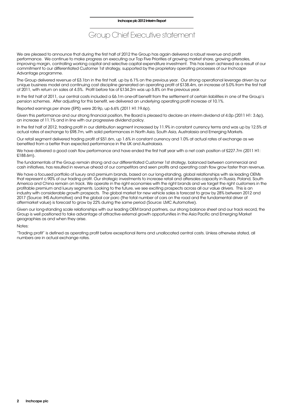#### Inchcape plc 2012 Interim Report

# Group Chief Executive statement

We are pleased to announce that during the first half of 2012 the Group has again delivered a robust revenue and profit performance. We continue to make progress on executing our Top Five Priorities of growing market share, growing aftersales, improving margin, controlling working capital and selective capital expenditure investment. This has been achieved as a result of our commitment to our differentiated Customer 1st strategy, supported by the proprietary operating processes of our Inchcape Advantage programme.

The Group delivered revenue of £3.1bn in the first half, up by 6.1% on the previous year. Our strong operational leverage driven by our unique business model and continuing cost discipline generated an operating profit of £138.4m, an increase of 5.0% from the first half of 2011, with return on sales at 4.5%. Profit before tax of £134.2m was up 5.8% on the previous year.

In the first half of 2011, our central costs included a £6.1m one-off benefit from the settlement of certain liabilities in one of the Group's pension schemes. After adjusting for this benefit, we delivered an underlying operating profit increase of 10.1%.

Reported earnings per share (EPS) were 20.9p, up 6.6% (2011 H1:19.6p).

Given this performance and our strong financial position, the Board is pleased to declare an interim dividend of 4.0p (2011 H1: 3.6p), an increase of 11.1% and in line with our progressive dividend policy.

In the first half of 2012, trading profit in our distribution segment increased by 11.9% in constant currency terms and was up by 12.5% at actual rates of exchange to £98.7m, with solid performances in North Asia, South Asia, Australasia and Emerging Markets.

Our retail segment delivered trading profit of £51.6m, up 1.6% in constant currency and 1.0% at actual rates of exchange as we benefited from a better than expected performance in the UK and Australasia.

We have delivered a good cash flow performance and have ended the first half year with a net cash position of £227.7m (2011 H1: £188.6m).

The fundamentals of the Group remain strong and our differentiated Customer 1st strategy, balanced between commercial and cash initiatives, has resulted in revenue ahead of our competitors and seen profits and operating cash flow grow faster than revenue.

We have a focused portfolio of luxury and premium brands, based on our long-standing, global relationships with six leading OEMs that represent c.90% of our trading profit. Our strategic investments to increase retail and aftersales capacity in Russia, Poland, South America and China remain on track. We operate in the right economies with the right brands and we target the right customers in the profitable premium and luxury segments. Looking to the future, we see exciting prospects across all our value drivers. This is an industry with considerable growth prospects. The global market for new vehicle sales is forecast to grow by 28% between 2012 and 2017 (Source: IHS Automotive) and the global car parc (the total number of cars on the road and the fundamental driver of aftermarket value) is forecast to grow by 22% during the same period (Source: LMC Automotive).

Given our long-standing scale relationships with our leading OEM brand partners, our strong balance sheet and our track record, the Group is well positioned to take advantage of attractive external growth opportunities in the Asia Pacific and Emerging Market geographies as and when they arise.

Notes:

"Trading profit" is defined as operating profit before exceptional items and unallocated central costs. Unless otherwise stated, all numbers are in actual exchange rates.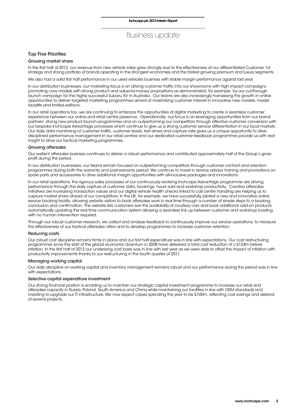# Business update

## Top Five Priorities

#### Growing market share

In the first half of 2012, our revenue from new vehicle sales grew strongly due to the effectiveness of our differentiated Customer 1st strategy and strong portfolio of brands operating in the strongest economies and the fastest growing premium and luxury segments.

We also had a solid first half performance in our used vehicles business with stable margin performance against last year.

In our distribution businesses, our marketing focus is on driving customer traffic into our showrooms with high impact campaigns promoting core models with strong product and value-for-money propositions as demonstrated, for example, by our cut-through launch campaign for the highly successful Subaru XV in Australia. Our teams are also increasingly harnessing the growth in online opportunities to deliver targeted marketing programmes aimed at maximising customer interest in innovative new models, model facelifts and limited editions.

In our retail operations too, we are continuing to embrace the opportunities of digital marketing to create a seamless customer experience between our online and retail centre presence. Operationally, our focus is on leveraging opportunities from our brand partners' strong new product launch programmes and on outperforming our competitors through effective customer conversion with our bespoke Inchcape Advantage processes which continue to give us a strong customer service differentiation in our local markets. Our daily data monitoring of customer traffic, customer leads, test drives and capture rate gives us a unique opportunity to drive disciplined performance management in our retail centres and our dedicated customer feedback programmes provide us with real insight to drive our tactical marketing programmes.

#### Growing aftersales

Our resilient aftersales business continues to deliver a robust performance and contributed approximately half of the Group's gross profit during the period.

In our distribution businesses, our teams remain focused on outperforming competitors through customer contact and retention programmes during both the warranty and post-warranty period. We continue to invest in service advisor training and promotions on spare parts and accessories to drive additional margin opportunities with all-inclusive packages and innovations.

In our retail operations, the rigorous sales processes of our continuously evolving Inchcape Advantage programme are driving performance through the daily capture of customer data, bookings, hours sold and workshop productivity. Creative aftersales initiatives are increasing transaction values and our digital vehicle health checks linked to call centre handling are helping us to capture market share ahead of our competitors. In the UK, for example, we have successfully piloted a new and innovative online service booking facility, allowing website visitors to book aftersales work in real time through a number of simple steps to a booking conclusion and confirmation. The website lets customers see the availability of courtesy cars and book additional add-on products, automatically updating the real time communication system allowing a seamless link up between customer and workshop loading, with no human intervention required.

Through our robust customer research, we collect and analyse feedback to continuously improve our service operations, to measure the effectiveness of our tactical aftersales offers and to develop programmes to increase customer retention.

#### Reducing costs

Our robust cost discipline remains firmly in place and our first half expenditure was in line with expectations. Our cost restructuring programmes since the start of the global economic downturn in 2008 have delivered a total cost reduction of c.£124m before inflation. In the first half of 2012 our underlying cost base was in line with last year as we were able to offset the impact of inflation with productivity improvements thanks to our restructuring in the fourth quarter of 2011.

### Managing working capital

Our daily discipline on working capital and inventory management remains robust and our performance during the period was in line with expectations.

#### Selective capital expenditure investment

Our strong financial position is enabling us to maintain our strategic capital investment programme to increase our retail and aftersales capacity in Russia, Poland, South America and China while maintaining our facilities in line with OEM standards and investing to upgrade our IT infrastructure. We now expect capex spending this year to be £100m, reflecting cost savings and deferral of several projects.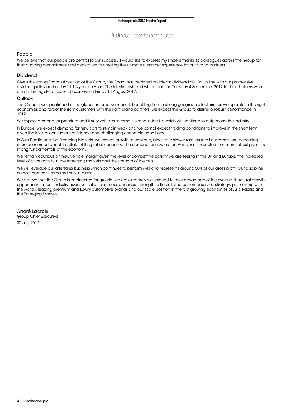#### Inchcape plc 2012 Interim Report

## Business update continued

## People

We believe that our people are central to our success. I would like to express my sincere thanks to colleagues across the Group for their ongoing commitment and dedication to creating the ultimate customer experience for our brand partners.

## Dividend

Given the strong financial position of the Group, the Board has declared an interim dividend of 4.0p, in line with our progressive dividend policy and up by 11.1% year on year. The interim dividend will be paid on Tuesday 4 September 2012 to shareholders who are on the register at close of business on Friday 10 August 2012.

### **Outlook**

The Group is well positioned in the global automotive market, benefiting from a strong geographic footprint as we operate in the right economies and target the right customers with the right brand partners; we expect the Group to deliver a robust performance in 2012.

We expect demand for premium and luxury vehicles to remain strong in the UK which will continue to outperform the industry.

In Europe, we expect demand for new cars to remain weak and we do not expect trading conditions to improve in the short term given the level of consumer confidence and challenging economic conditions.

In Asia Pacific and the Emerging Markets, we expect growth to continue, albeit at a slower rate, as retail customers are becoming more concerned about the state of the global economy. The demand for new cars in Australia is expected to remain robust given the strong fundamentals of the economy.

We remain cautious on new vehicle margin given the level of competitive activity we are seeing in the UK and Europe, the increased level of price activity in the emerging markets and the strength of the Yen.

We will leverage our aftersales business which continues to perform well and represents around 50% of our gross profit. Our discipline on cost and cash remains firmly in place.

We believe that the Group is engineered for growth: we are extremely well placed to take advantage of the exciting structural growth opportunities in our industry given our solid track record, financial strength, differentiated customer service strategy, partnership with the world's leading premium and luxury automotive brands and our scale position in the fast growing economies of Asia Pacific and the Emerging Markets.

## André Lacroix

Group Chief Executive 30 July 2012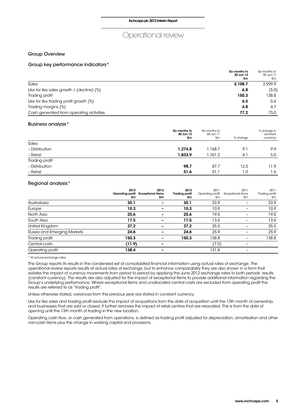# Operational review

## Group Overview

## Group key performance indicators\*

|                                            | Six months to<br>30 Jun 12<br>£m | Six months to<br>30 Jun 11<br>£m |
|--------------------------------------------|----------------------------------|----------------------------------|
| Sales                                      | 3,108.7                          | 2.929.9                          |
| Like for like sales growth / (decline) (%) | 6.8                              | (5.0)                            |
| Trading profit                             | 150.3                            | 138.8                            |
| Like for like trading profit growth (%)    | 6.5                              | 5.4                              |
| Trading margins (%)                        | 4.8                              | 4.7                              |
| Cash generated from operating activities   | 77.2                             | 73.0                             |

## Business analysis\*

|                | Six months to<br>30 Jun 12<br>£m | Six months to<br>30 Jun 11<br>£m | % change | % change in<br>constant<br>currency |
|----------------|----------------------------------|----------------------------------|----------|-------------------------------------|
| Sales          |                                  |                                  |          |                                     |
| - Distribution | 1,274.8                          | 1,168.7                          | 9.       | 9.9                                 |
| - Retail       | 1,833.9                          | 1,761.2                          | 4.1      | 5.0                                 |
| Trading profit |                                  |                                  |          |                                     |
| - Distribution | 98.7                             | 87.7                             | 12.5     | 11.9                                |
| - Retail       | 51.6                             | 51.1                             | 1.0      | 1.6                                 |

## Regional analysis\*

|                             | 2012<br>£m | 2012<br>Operating profit Exceptional items<br>£m | 2012<br><b>Trading profit</b><br>£m | 2011<br>Operating profit<br>£m | 2011<br><b>Exceptional items</b><br>£m | 2011<br>Trading profit<br>£m |
|-----------------------------|------------|--------------------------------------------------|-------------------------------------|--------------------------------|----------------------------------------|------------------------------|
| Australasia                 | 35.1       | $\overline{\phantom{a}}$                         | 35.1                                | 33.9                           | $\overline{\phantom{0}}$               | 33.9                         |
| Europe                      | 10.3       | $\overline{\phantom{0}}$                         | 10.3                                | 10.9                           | -                                      | 10.9                         |
| North Asia                  | 25.6       | -                                                | 25.6                                | 19.0                           | -                                      | 19.0                         |
| South Asia                  | 17.5       | -                                                | 17.5                                | 13.6                           | -                                      | 13.6                         |
| United Kingdom              | 37.2       | $\overline{\phantom{0}}$                         | 37.2                                | 35.5                           | $\overline{\phantom{0}}$               | 35.5                         |
| Russia and Emerging Markets | 24.6       |                                                  | 24.6                                | 25.9                           |                                        | 25.9                         |
| Trading profit              | 150.3      | $\qquad \qquad \blacksquare$                     | 150.3                               | 138.8                          | $\overline{\phantom{0}}$               | 138.8                        |
| Central costs               | (11.9)     | $\overline{\phantom{0}}$                         |                                     | (7.0)                          | $\overline{\phantom{0}}$               |                              |
| Operating profit            | 138.4      | -                                                |                                     | 131.8                          | $\overline{\phantom{0}}$               |                              |

\* At actual exchange rates

The Group reports its results in the condensed set of consolidated financial information using actual rates of exchange. The operational review reports results at actual rates of exchange, but to enhance comparability they are also shown in a form that isolates the impact of currency movements from period to period by applying the June 2012 exchange rates to both periods' results (constant currency). The results are also adjusted for the impact of exceptional items to provide additional information regarding the Group's underlying performance. Where exceptional items and unallocated central costs are excluded from operating profit the results are referred to as "trading profit".

Unless otherwise stated, variances from the previous year are stated in constant currency.

Like for like sales and trading profit exclude the impact of acquisitions from the date of acquisition until the 13th month of ownership, and businesses that are sold or closed. It further removes the impact of retail centres that are relocated. This is from the date of opening until the 13th month of trading in the new location.

Operating cash flow, or cash generated from operations, is defined as trading profit adjusted for depreciation, amortisation and other non-cash items plus the change in working capital and provisions.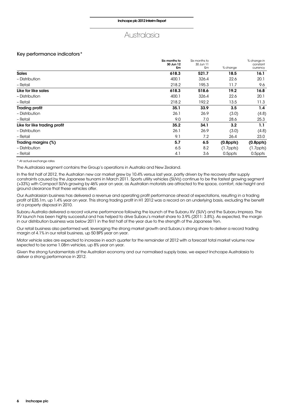# Australasia

## Key performance indicators\*

|                              | Six months to<br>30 Jun 12 | Six months to<br>30 Jun 11 |                 | % change in<br>constant |  |
|------------------------------|----------------------------|----------------------------|-----------------|-------------------------|--|
|                              | £m                         | £m                         | % change        | currency                |  |
| <b>Sales</b>                 | 618.3                      | 521.7                      | 18.5            | 16.1                    |  |
| - Distribution               | 400.1                      | 326.4                      | 22.6            | 20.1                    |  |
| - Retail                     | 218.2                      | 195.3                      | 11.7            | 9.6                     |  |
| Like for like sales          | 618.3                      | 518.6                      | 19.2            | 16.8                    |  |
| - Distribution               | 400.1                      | 326.4                      | 22.6            | 20.1                    |  |
| - Retail                     | 218.2                      | 192.2                      | 13.5            | 11.3                    |  |
| <b>Trading profit</b>        | 35.1                       | 33.9                       | 3.5             | 1.4                     |  |
| - Distribution               | 26.1                       | 26.9                       | (3.0)           | (4.8)                   |  |
| - Retail                     | 9.0                        | 7.0                        | 28.6            | 25.3                    |  |
| Like for like trading profit | 35.2                       | 34.1                       | 3.2             | 1.1                     |  |
| - Distribution               | 26.1                       | 26.9                       | (3.0)           | (4.8)                   |  |
| - Retail                     | 9.1                        | 7.2                        | 26.4            | 23.0                    |  |
| Trading margins (%)          | 5.7                        | 6.5                        | $(0.8$ ppts $)$ | $(0.8$ ppts $)$         |  |
| - Distribution               | 6.5                        | 8.2                        | $(1.7$ ppts $)$ | (1.7ppts)               |  |
| - Retail                     | 4.1                        | 3.6                        | 0.5ppts         | 0.5ppts                 |  |

\* At actual exchange rates

The Australasia segment contains the Group's operations in Australia and New Zealand.

In the first half of 2012, the Australian new car market grew by 10.4% versus last year, partly driven by the recovery after supply constraints caused by the Japanese tsunami in March 2011. Sports utility vehicles (SUVs) continue to be the fastest growing segment (+33%) with Compact SUVs growing by 46% year on year, as Australian motorists are attracted to the space, comfort, ride height and ground clearance that these vehicles offer.

Our Australasian business has delivered a revenue and operating profit performance ahead of expectations, resulting in a trading profit of £35.1m, up 1.4% year on year. This strong trading profit in H1 2012 was a record on an underlying basis, excluding the benefit of a property disposal in 2010.

Subaru Australia delivered a record volume performance following the launch of the Subaru XV (SUV) and the Subaru Impreza. The XV launch has been highly successful and has helped to drive Subaru's market share to 3.9% (2011: 3.8%). As expected, the margin in our distribution business was below 2011 in the first half of the year due to the strength of the Japanese Yen.

Our retail business also performed well, leveraging the strong market growth and Subaru's strong share to deliver a record trading margin of 4.1% in our retail business, up 50 BPS year on year.

Motor vehicle sales are expected to increase in each quarter for the remainder of 2012 with a forecast total market volume now expected to be some 1.08m vehicles, up 8% year on year.

Given the strong fundamentals of the Australian economy and our normalised supply base, we expect Inchcape Australasia to deliver a strong performance in 2012.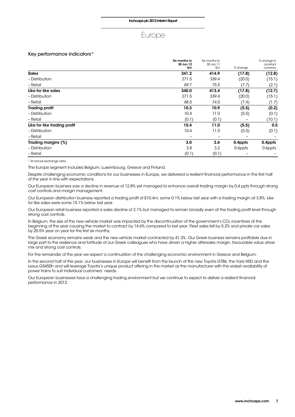## Europe

## Key performance indicators\*

|                              | Six months to<br>30 Jun 12 | Six months to   |          | % change in<br>constant<br>currency |
|------------------------------|----------------------------|-----------------|----------|-------------------------------------|
|                              | £m                         | 30 Jun 11<br>£m | % change |                                     |
| <b>Sales</b>                 | 341.2                      | 414.9           | (17.8)   | (12.8)                              |
| - Distribution               | 271.5                      | 339.4           | (20.0)   | (15.1)                              |
| - Retail                     | 69.7                       | 75.5            | (7.7)    | (2.1)                               |
| Like for like sales          | 340.0                      | 413.4           | (17.8)   | (12.7)                              |
| - Distribution               | 271.5                      | 339.4           | (20.0)   | (15.1)                              |
| - Retail                     | 68.5                       | 74.0            | (7.4)    | (1.7)                               |
| <b>Trading profit</b>        | 10.3                       | 10.9            | (5.5)    | (0.2)                               |
| - Distribution               | 10.4                       | 11.0            | (5.5)    | (0.1)                               |
| - Retail                     | (0.1)                      | (0.1)           |          | (10.1)                              |
| Like for like trading profit | 10.4                       | 11.0            | (5.5)    | 0.5                                 |
| - Distribution               | 10.4                       | 11.0            | (5.5)    | (0.1)                               |
| - Retail                     |                            |                 |          |                                     |
| Trading margins (%)          | 3.0                        | 2.6             | 0.4ppts  | 0.4ppts                             |
| - Distribution               | 3.8                        | 3.2             | 0.6ppts  | 0.6ppts                             |
| - Retail                     | (0.1)                      | (0.1)           |          |                                     |

\* At actual exchange rates

The Europe segment includes Belgium, Luxembourg, Greece and Finland.

Despite challenging economic conditions for our businesses in Europe, we delivered a resilient financial performance in the first half of the year in line with expectations.

Our European business saw a decline in revenue of 12.8% yet managed to enhance overall trading margin by 0.4 ppts through strong cost controls and margin management.

Our European distribution business reported a trading profit of £10.4m, some 0.1% below last year with a trading margin at 3.8%. Like for like sales were some 15.1% below last year.

Our European retail business reported a sales decline of 2.1% but managed to remain broadly even at the trading profit level through strong cost controls.

In Belgium, the size of the new vehicle market was impacted by the discontinuation of the government's  $CO<sub>2</sub>$  incentives at the beginning of the year causing the market to contract by 14.6% compared to last year. Fleet sales fell by 5.2% and private car sales by 20.5% year on year for the first six months.

The Greek economy remains weak and the new vehicle market contracted by 41.3%. Our Greek business remains profitable due in large part to the resilience and fortitude of our Greek colleagues who have driven a higher aftersales margin, favourable value driver mix and strong cost controls.

For the remainder of the year we expect a continuation of the challenging economic environment in Greece and Belgium.

In the second half of the year, our businesses in Europe will benefit from the launch of the new Toyota GT86, the Yaris HSD and the Lexus GS450h and will leverage Toyota's unique product offering in the market as the manufacturer with the widest availability of power trains to suit individual customers' needs.

Our European businesses face a challenging trading environment but we continue to expect to deliver a resilient financial performance in 2012.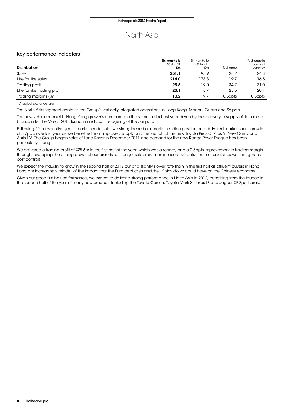# North Asia

## Key performance indicators\*

| <b>Distribution</b>          | Six months to<br>30 Jun 12<br>£m | Six months to<br>30 Jun 11<br>£m | % change | % change in<br>constant<br>currency |
|------------------------------|----------------------------------|----------------------------------|----------|-------------------------------------|
| Sales                        | 251.1                            | 195.9                            | 28.2     | 24.8                                |
| Like for like sales          | 214.0                            | 178.8                            | 19.7     | 16.5                                |
| Trading profit               | 25.6                             | 19.0                             | 34.7     | 31.0                                |
| Like for like trading profit | 23.1                             | 18.7                             | 23.5     | 20.1                                |
| Trading margins (%)          | 10.2                             | 9.7                              | 0.5ppts  | 0.5ppts                             |

\* At actual exchange rates

The North Asia segment contains the Group's vertically integrated operations in Hong Kong, Macau, Guam and Saipan.

The new vehicle market in Hong Kong grew 6% compared to the same period last year driven by the recovery in supply of Japanese brands after the March 2011 tsunami and also the ageing of the car parc.

Following 20 consecutive years' market leadership, we strengthened our market leading position and delivered market share growth of 3.7ppts over last year as we benefited from improved supply and the launch of the new Toyota Prius C, Prius V, New Camy and Auris HV. The Group began sales of Land Rover in December 2011 and demand for the new Range Rover Evoque has been particularly strong.

We delivered a trading profit of £25.6m in the first half of the year, which was a record, and a 0.5ppts improvement in trading margin through leveraging the pricing power of our brands, a stronger sales mix, margin accretive activities in aftersales as well as rigorous cost controls.

We expect the industry to grow in the second half of 2012 but at a slightly slower rate than in the first half as affluent buyers in Hong Kong are increasingly mindful of the impact that the Euro debt crisis and the US slowdown could have on the Chinese economy.

Given our good first half performance, we expect to deliver a strong performance in North Asia in 2012, benefiting from the launch in the second half of the year of many new products including the Toyota Corolla, Toyota Mark X, Lexus LS and Jaguar XF Sportsbrake.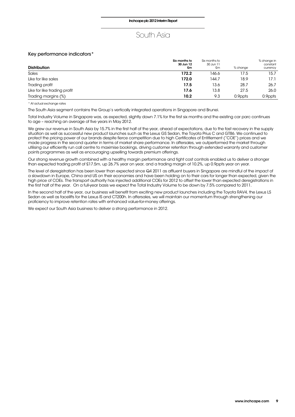# South Asia

## Key performance indicators\*

| <b>Distribution</b>          | Six months to<br>30 Jun 12<br>£m | Six months to<br>30 Jun 11<br>£m | % change | % change in<br>constant<br>currency |
|------------------------------|----------------------------------|----------------------------------|----------|-------------------------------------|
| Sales                        | 172.2                            | 146.6                            | 17.5     | 15.7                                |
| Like for like sales          | 172.0                            | 144.7                            | 18.9     | 17.1                                |
| Trading profit               | 17.5                             | 13.6                             | 28.7     | 26.7                                |
| Like for like trading profit | 17.6                             | 13.8                             | 27.5     | 26.0                                |
| Trading margins (%)          | 10.2                             | 9.3                              | 0.9ppts  | 0.9ppts                             |

\* At actual exchange rates

The South Asia segment contains the Group's vertically integrated operations in Singapore and Brunei.

Total Industry Volume in Singapore was, as expected, slightly down 7.1% for the first six months and the existing car parc continues to age – reaching an average of five years in May 2012.

We grew our revenue in South Asia by 15.7% in the first half of the year, ahead of expectations, due to the fast recovery in the supply situation as well as successful new product launches such as the Lexus GS Sedan, the Toyota Prius C and GT86. We continued to protect the pricing power of our brands despite fierce competition due to high Certificates of Entitlement ("COE") prices and we made progress in the second quarter in terms of market share performance. In aftersales, we outperformed the market through utilising our efficiently run call centre to maximise bookings, driving customer retention through extended warranty and customer points programmes as well as encouraging upselling towards premium offerings.

Our strong revenue growth combined with a healthy margin performance and tight cost controls enabled us to deliver a stronger than expected trading profit of £17.5m, up 26.7% year on year, and a trading margin of 10.2%, up 0.9ppts year on year.

The level of deregistration has been lower than expected since Q4 2011 as affluent buyers in Singapore are mindful of the impact of a slowdown in Europe, China and US on their economies and have been holding on to their cars for longer than expected, given the high price of COEs. The transport authority has injected additional COEs for 2012 to offset the lower than expected deregistrations in the first half of the year. On a full-year basis we expect the Total Industry Volume to be down by 7.5% compared to 2011.

In the second half of the year, our business will benefit from exciting new product launches including the Toyota RAV4, the Lexus LS Sedan as well as facelifts for the Lexus IS and CT200h. In aftersales, we will maintain our momentum through strengthening our proficiency to improve retention rates with enhanced value-for-money offerings.

We expect our South Asia business to deliver a strong performance in 2012.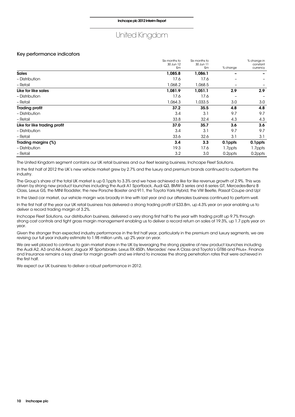# United Kingdom

## Key performance indicators

|                              | Six months to<br>30 Jun 12 | Six months to   |          | % change in          |  |
|------------------------------|----------------------------|-----------------|----------|----------------------|--|
|                              | £m                         | 30 Jun 11<br>£m | % change | constant<br>currency |  |
| <b>Sales</b>                 | 1,085.8                    | 1,086.1         | -        |                      |  |
| - Distribution               | 17.6                       | 17.6            | -        |                      |  |
| - Retail                     | 1,068.2                    | 1,068.5         |          |                      |  |
| Like for like sales          | 1,081.9                    | 1,051.1         | 2.9      | 2.9                  |  |
| - Distribution               | 17.6                       | 17.6            | -        |                      |  |
| - Retail                     | 1,064.3                    | 1,033.5         | 3.0      | 3.0                  |  |
| <b>Trading profit</b>        | 37.2                       | 35.5            | 4.8      | 4.8                  |  |
| - Distribution               | 3.4                        | 3.1             | 9.7      | 9.7                  |  |
| - Retail                     | 33.8                       | 32.4            | 4.3      | 4.3                  |  |
| Like for like trading profit | 37.0                       | 35.7            | 3.6      | 3.6                  |  |
| - Distribution               | 3.4                        | 3.1             | 9.7      | 9.7                  |  |
| - Retail                     | 33.6                       | 32.6            | 3.1      | 3.1                  |  |
| Trading margins (%)          | 3.4                        | 3.3             | 0.1 ppts | 0.1ppts              |  |
| - Distribution               | 19.3                       | 17.6            | 1.7ppts  | 1.7ppts              |  |
| - Retail                     | 3.2                        | 3.0             | 0.2ppts  | 0.2ppts              |  |

The United Kingdom segment contains our UK retail business and our fleet leasing business, Inchcape Fleet Solutions.

In the first half of 2012 the UK's new vehicle market grew by 2.7% and the luxury and premium brands continued to outperform the industry.

The Group's share of the total UK market is up 0.1ppts to 3.3% and we have achieved a like for like revenue growth of 2.9%. This was driven by strong new product launches including the Audi A1 Sportback, Audi Q3, BMW 3 series and 6 series GT, Mercedes-Benz B Class, Lexus GS, the MINI Roadster, the new Porsche Boxster and 911, the Toyota Yaris Hybrid, the VW Beetle, Passat Coupe and Up!

In the Used car market, our vehicle margin was broadly in line with last year and our aftersales business continued to perform well.

In the first half of the year our UK retail business has delivered a strong trading profit of £33.8m, up 4.3% year on year enabling us to deliver a record trading margin of 3.2%.

Inchcape Fleet Solutions, our distribution business, delivered a very strong first half to the year with trading profit up 9.7% through strong cost controls and tight gross margin management enabling us to deliver a record return on sales of 19.3%, up 1.7 ppts year on year.

Given the stronger than expected industry performance in the first half year, particularly in the premium and luxury segments, we are revising our full year industry estimate to 1.98 million units, up 2% year on year.

We are well placed to continue to gain market share in the UK by leveraging the strong pipeline of new product launches including the Audi A2, A3 and A6 Avant, Jaguar XF Sportsbrake, Lexus RX 450h, Mercedes' new A Class and Toyota's GT86 and Prius+. Finance and Insurance remains a key driver for margin growth and we intend to increase the strong penetration rates that were achieved in the first half.

We expect our UK business to deliver a robust performance in 2012.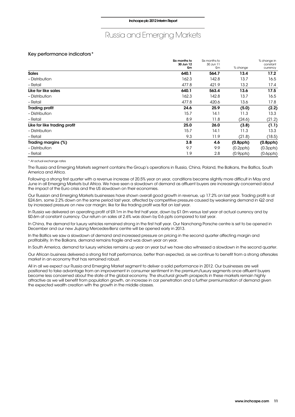# Russia and Emerging Markets

## Key performance indicators\*

|                              | Six months to<br>30 Jun 12 | Six months to<br>30 Jun 11 |                 | % change in<br>constant |
|------------------------------|----------------------------|----------------------------|-----------------|-------------------------|
|                              | £m                         | £m                         | % change        | currency                |
| <b>Sales</b>                 | 640.1                      | 564.7                      | 13.4            | 17.2                    |
| - Distribution               | 162.3                      | 142.8                      | 13.7            | 16.5                    |
| - Retail                     | 477.8                      | 421.9                      | 13.2            | 17.4                    |
| Like for like sales          | 640.1                      | 563.4                      | 13.6            | 17.5                    |
| - Distribution               | 162.3                      | 142.8                      | 13.7            | 16.5                    |
| - Retail                     | 477.8                      | 420.6                      | 13.6            | 17.8                    |
| <b>Trading profit</b>        | 24.6                       | 25.9                       | (5.0)           | (2.2)                   |
| - Distribution               | 15.7                       | 14.1                       | 11.3            | 13.3                    |
| - Retail                     | 8.9                        | 11.8                       | (24.6)          | (21.2)                  |
| Like for like trading profit | 25.0                       | 26.0                       | (3.8)           | (1.1)                   |
| - Distribution               | 15.7                       | 14.1                       | 11.3            | 13.3                    |
| - Retail                     | 9.3                        | 11.9                       | (21.8)          | (18.5)                  |
| Trading margins (%)          | 3.8                        | 4.6                        | $(0.8$ ppts $)$ | $(0.8$ ppts $)$         |
| - Distribution               | 9.7                        | 9.9                        | $(0.2$ ppts $)$ | $(0.3$ ppts $)$         |
| - Retail                     | 1.9                        | 2.8                        | $(0.9$ ppts $)$ | $(0.6$ ppts $)$         |

\* At actual exchange rates

The Russia and Emerging Markets segment contains the Group's operations in Russia, China, Poland, the Balkans, the Baltics, South America and Africa.

Following a strong first quarter with a revenue increase of 20.5% year on year, conditions became slightly more difficult in May and June in all Emerging Markets but Africa. We have seen a slowdown of demand as affluent buyers are increasingly concerned about the impact of the Euro crisis and the US slowdown on their economies.

Our Russian and Emerging Markets businesses have shown overall good growth in revenue, up 17.2% on last year. Trading profit is at £24.6m, some 2.2% down on the same period last year, affected by competitive pressure caused by weakening demand in Q2 and by increased pressure on new car margin; like for like trading profit was flat on last year.

In Russia we delivered an operating profit of £9.1m in the first half year, down by £1.0m versus last year at actual currency and by £0.6m at constant currency. Our return on sales at 2.6% was down by 0.6 ppts compared to last year.

In China, the demand for luxury vehicles remained strong in the first half year. Our Nanchang Porsche centre is set to be opened in December and our new Jiujiang Mercedes-Benz centre will be opened early in 2013.

In the Baltics we saw a slowdown of demand and increased pressure on pricing in the second quarter affecting margin and profitability. In the Balkans, demand remains fragile and was down year on year.

In South America, demand for luxury vehicles remains up year on year but we have also witnessed a slowdown in the second quarter.

Our African business delivered a strong first half performance, better than expected, as we continue to benefit from a strong aftersales market in an economy that has remained robust.

All in all we expect our Russia and Emerging Market segment to deliver a solid performance in 2012. Our businesses are well positioned to take advantage from an improvement in consumer sentiment in the premium/luxury segments once affluent buyers become less concerned about the state of the global economy. The structural growth prospects in these markets remain highly attractive as we will benefit from population growth, an increase in car penetration and a further premiumisation of demand given the expected wealth creation with the growth in the middle classes.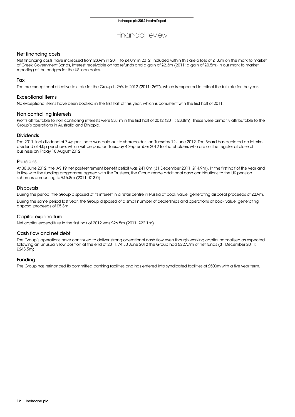# Financial review

## Net financing costs

Net financing costs have increased from £3.9m in 2011 to £4.0m in 2012. Included within this are a loss of £1.0m on the mark to market of Greek Government Bonds, interest receivable on tax refunds and a gain of £2.3m (2011: a gain of £0.5m) in our mark to market reporting of the hedges for the US loan notes.

## **Tax**

The pre exceptional effective tax rate for the Group is 26% in 2012 (2011: 26%), which is expected to reflect the full rate for the year.

## Exceptional items

No exceptional items have been booked in the first half of this year, which is consistent with the first half of 2011.

## Non controlling interests

Profits attributable to non controlling interests were £3.1m in the first half of 2012 (2011: £3.8m). These were primarily attributable to the Group's operations in Australia and Ethiopia.

## Dividends

The 2011 final dividend of 7.4p per share was paid out to shareholders on Tuesday 12 June 2012. The Board has declared an interim dividend of 4.0p per share, which will be paid on Tuesday 4 September 2012 to shareholders who are on the register at close of business on Friday 10 August 2012.

## Pensions

At 30 June 2012, the IAS 19 net post-retirement benefit deficit was £41.0m (31 December 2011: £14.9m). In the first half of the year and in line with the funding programme agreed with the Trustees, the Group made additional cash contributions to the UK pension schemes amounting to £16.8m (2011: £13.0).

## **Disposals**

During the period, the Group disposed of its interest in a retail centre in Russia at book value, generating disposal proceeds of £2.9m.

During the same period last year, the Group disposed of a small number of dealerships and operations at book value, generating disposal proceeds of £5.3m.

### Capital expenditure

Net capital expenditure in the first half of 2012 was £26.5m (2011: £22.1m).

## Cash flow and net debt

The Group's operations have continued to deliver strong operational cash flow even though working capital normalised as expected following an unusually low position at the end of 2011. At 30 June 2012 the Group had £227.7m of net funds (31 December 2011: £243.5m).

## Funding

The Group has refinanced its committed banking facilities and has entered into syndicated facilities of £500m with a five year term.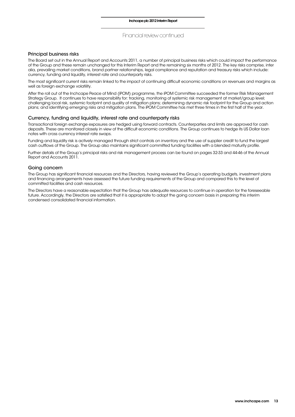#### Inchcape plc 2012 Interim Report

Financial review continued

## Principal business risks

The Board set out in the Annual Report and Accounts 2011, a number of principal business risks which could impact the performance of the Group and these remain unchanged for this Interim Report and the remaining six months of 2012. The key risks comprise, inter alia, prevailing market conditions, brand partner relationships, legal compliance and reputation and treasury risks which include: currency, funding and liquidity, interest rate and counterparty risks.

The most significant current risks remain linked to the impact of continuing difficult economic conditions on revenues and margins as well as foreign exchange volatility.

After the roll out of the Inchcape Peace of Mind (iPOM) programme, the iPOM Committee succeeded the former Risk Management Strategy Group. It continues to have responsibility for: tracking, monitoring of systemic risk management at market/group level; challenging local risk, systemic footprint and quality of mitigation plans; determining dynamic risk footprint for the Group and action plans; and identifying emerging risks and mitigation plans. The iPOM Committee has met three times in the first half of the year.

### Currency, funding and liquidity, interest rate and counterparty risks

Transactional foreign exchange exposures are hedged using forward contracts. Counterparties and limits are approved for cash deposits. These are monitored closely in view of the difficult economic conditions. The Group continues to hedge its US Dollar loan notes with cross currency interest rate swaps.

Funding and liquidity risk is actively managed through strict controls on inventory and the use of supplier credit to fund the largest cash outflows of the Group. The Group also maintains significant committed funding facilities with a blended maturity profile.

Further details of the Group's principal risks and risk management process can be found on pages 32-33 and 44-46 of the Annual Report and Accounts 2011.

### Going concern

The Group has significant financial resources and the Directors, having reviewed the Group's operating budgets, investment plans and financing arrangements have assessed the future funding requirements of the Group and compared this to the level of committed facilities and cash resources.

The Directors have a reasonable expectation that the Group has adequate resources to continue in operation for the foreseeable future. Accordingly, the Directors are satisfied that it is appropriate to adopt the going concern basis in preparing this interim condensed consolidated financial information.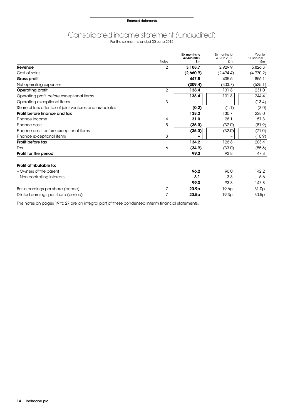## Financial statements

## Consolidated income statement (unaudited) For the six months ended 30 June 2012

|                                                          |                | Six months to<br>30 Jun 2012 | Six months to<br>30 Jun 2011 | Year to<br>31 Dec 2011 |
|----------------------------------------------------------|----------------|------------------------------|------------------------------|------------------------|
|                                                          | <b>Notes</b>   | £m                           | £m                           | £m                     |
| Revenue                                                  | 2              | 3,108.7                      | 2.929.9                      | 5,826.3                |
| Cost of sales                                            |                | (2,660.9)                    | (2,494.4)                    | (4,970.2)              |
| Gross profit                                             |                | 447.8                        | 435.5                        | 856.1                  |
| Net operating expenses                                   |                | (309.4)                      | (303.7)                      | (625.1)                |
| <b>Operating profit</b>                                  | $\overline{2}$ | 138.4                        | 131.8                        | 231.0                  |
| Operating profit before exceptional items                |                | 138.4                        | 131.8                        | 244.4                  |
| Operating exceptional items                              | 3              |                              |                              | (13.4)                 |
| Share of loss after tax of joint ventures and associates |                | (0.2)                        | (1.1)                        | (3.0)                  |
| Profit before finance and tax                            |                | 138.2                        | 130.7                        | 228.0                  |
| Finance income                                           | 4              | 31.0                         | 28.1                         | 57.3                   |
| Finance costs                                            | 5              | (35.0)                       | (32.0)                       | (81.9)                 |
| Finance costs before exceptional items                   |                | (35.0)                       | (32.0)                       | (71.0)                 |
| Finance exceptional items                                | 3              |                              |                              | (10.9)                 |
| Profit before tax                                        |                | 134.2                        | 126.8                        | 203.4                  |
| Tax                                                      | 6              | (34.9)                       | (33.0)                       | (55.6)                 |
| Profit for the period                                    |                | 99.3                         | 93.8                         | 147.8                  |
| Profit attributable to:                                  |                |                              |                              |                        |
| - Owners of the parent                                   |                | 96.2                         | 90.0                         | 142.2                  |
| - Non controlling interests                              |                | 3.1                          | 3.8                          | 5.6                    |
|                                                          |                | 99.3                         | 93.8                         | 147.8                  |
| Basic earnings per share (pence)                         | $\overline{7}$ | 20.9p                        | 19.6 <sub>p</sub>            | 31.0 <sub>p</sub>      |
| Diluted earnings per share (pence)                       |                | 20.5p                        | 19.3p                        | 30.5p                  |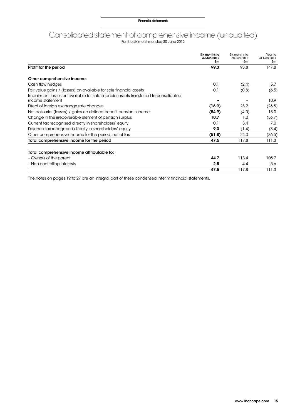## Consolidated statement of comprehensive income (unaudited) For the six months ended 30 June 2012

|                                                                                                          | Six months to<br>30 Jun 2012<br>£m | Six months to<br>30 Jun 2011<br>\$m\$ | Year to<br>31 Dec 2011<br>£m |
|----------------------------------------------------------------------------------------------------------|------------------------------------|---------------------------------------|------------------------------|
| Profit for the period                                                                                    | 99.3                               | 93.8                                  | 147.8                        |
| Other comprehensive income:                                                                              |                                    |                                       |                              |
| Cash flow hedges                                                                                         | 0.1                                | (2.4)                                 | 5.7                          |
| Fair value gains / (losses) on available for sale financial assets                                       | 0.1                                | (0.8)                                 | (6.5)                        |
| Impairment losses on available for sale financial assets transferred to consolidated<br>income statement |                                    |                                       | 10.9                         |
| Effect of foreign exchange rate changes                                                                  | (16.9)                             | 28.2                                  | (26.5)                       |
| Net actuarial (losses) / gains on defined benefit pension schemes                                        | (54.9)                             | (4.0)                                 | 18.0                         |
| Change in the irrecoverable element of pension surplus                                                   | 10.7                               | 1.0                                   | (36.7)                       |
| Current tax recognised directly in shareholders' equity                                                  | 0.1                                | 3.4                                   | 7.0                          |
| Deferred tax recognised directly in shareholders' equity                                                 | 9.0                                | (1.4)                                 | (8.4)                        |
| Other comprehensive income for the period, net of tax                                                    | (51.8)                             | 24.0                                  | (36.5)                       |
| Total comprehensive income for the period                                                                | 47.5                               | 117.8                                 | 111.3                        |
| Total comprehensive income attributable to:                                                              |                                    |                                       |                              |
| - Owners of the parent                                                                                   | 44.7                               | 113.4                                 | 105.7                        |
| - Non controlling interests                                                                              | 2.8                                | 4.4                                   | 5.6                          |
|                                                                                                          | 47.5                               | 117.8                                 | 111.3                        |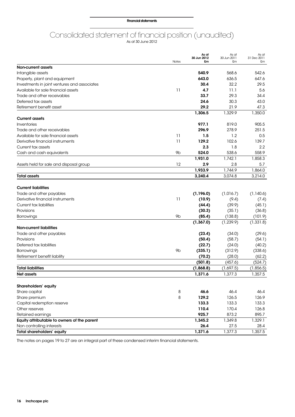## Consolidated statement of financial position (unaudited) As at 30 June 2012

|                                              |       | As at<br>30 Jun 2012 | As at<br>30 Jun 2011 | As at<br>31 Dec 2011 |
|----------------------------------------------|-------|----------------------|----------------------|----------------------|
|                                              | Notes | £m                   | £m                   | £m                   |
| <b>Non-current assets</b>                    |       |                      |                      |                      |
| Intangible assets                            |       | 540.9                | 568.6                | 542.6                |
| Property, plant and equipment                |       | 643.0                | 636.5                | 647.6                |
| Investments in joint ventures and associates |       | 30.4                 | 32.2                 | 29.5                 |
| Available for sale financial assets          | 11    | 4.7                  | 11.1                 | 5.6                  |
| Trade and other receivables                  |       | 33.7                 | 29.3                 | 34.4                 |
| Deferred tax assets                          |       | 24.6                 | 30.3                 | 43.0                 |
| Retirement benefit asset                     |       | 29.2                 | 21.9                 | 47.3                 |
|                                              |       | 1,306.5              | 1,329.9              | 1,350.0              |
| <b>Current assets</b>                        |       |                      |                      |                      |
| Inventories                                  |       | 977.1                | 819.0                | 905.5                |
| Trade and other receivables                  |       | 296.9                | 278.9                | 251.5                |
| Available for sale financial assets          | 11    | 1.5                  | 1.2                  | 0.5                  |
| Derivative financial instruments             | 11    | 129.2                | 102.6                | 139.7                |
| Current tax assets                           |       | 2.3                  | 1.8                  | 2.2                  |
| Cash and cash equivalents                    | 9b    | 524.0                | 538.6                | 558.9                |
|                                              |       | 1.931.0              | 1,742.1              | 1,858.3              |
| Assets held for sale and disposal group      | 12    | 2.9                  | 2.8                  | 5.7                  |
|                                              |       | 1,933.9              | 1,744.9              | 1,864.0              |
| <b>Total assets</b>                          |       | 3,240.4              | 3.074.8              | 3,214.0              |
|                                              |       |                      |                      |                      |
| <b>Current liabilities</b>                   |       |                      |                      |                      |
| Trade and other payables                     |       | (1, 196.0)           | (1,016.7)            | (1,140.6)            |
| Derivative financial instruments             | 11    | (10.9)               | (9.4)                | (7.4)                |
| Current tax liabilities                      |       | (44.4)               | (39.9)               | (45.1)               |
| Provisions                                   |       | (30.3)               | (35.1)               | (36.8)               |
| <b>Borrowings</b>                            | 9b    | (85.4)               | (138.8)              | (101.9)              |
|                                              |       | (1, 367.0)           | (1, 239.9)           | (1, 331.8)           |
| <b>Non-current liabilities</b>               |       |                      |                      |                      |
| Trade and other payables                     |       | (23.4)               | (34.0)               | (29.6)               |
| Provisions                                   |       | (50.4)               | (58.7)               | (54.1)               |
| Deferred tax liabilities                     |       | (22.7)               | (24.0)               | (40.2)               |
| <b>Borrowings</b>                            | 9b    | (335.1)              | (312.9)              | (338.6)              |
| Retirement benefit liability                 |       | (70.2)               | (28.0)               | (62.2)               |
|                                              |       | (501.8)              | (457.6)              | (524.7)              |
| <b>Total liabilities</b>                     |       | (1, 868.8)           | (1,697.5)            | (1,856.5)            |
| Net assets                                   |       | 1,371.6              | 1,377.3              | 1,357.5              |
|                                              |       |                      |                      |                      |
| Shareholders' equity                         |       |                      |                      |                      |
| Share capital                                | 8     | 46.6                 | 46.4                 | 46.4                 |
| Share premium                                | 8     | 129.2                | 126.5                | 126.9                |
| Capital redemption reserve                   |       | 133.3                | 133.3                | 133.3                |
| Other reserves                               |       | 110.4                | 170.4                | 126.8                |
| Retained earnings                            |       | 925.7                | 873.2                | 895.7                |
| Equity attributable to owners of the parent  |       | 1,345.2              | 1,349.8              | 1,329.1              |
| Non controlling interests                    |       | 26.4                 | 27.5                 | 28.4                 |
| Total shareholders' equity                   |       | 1,371.6              | 1,377.3              | 1,357.5              |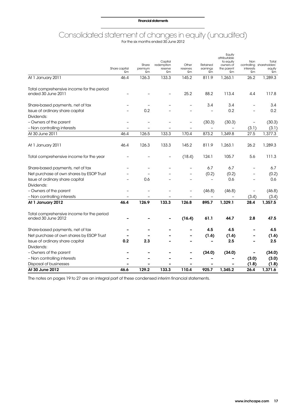## Consolidated statement of changes in equity (unaudited) For the six months ended 30 June 2012

|                                                                 |                     |                        | Capital                     |                         |                            | Equity<br>attributable<br>to equity | Non                            | Total                         |
|-----------------------------------------------------------------|---------------------|------------------------|-----------------------------|-------------------------|----------------------------|-------------------------------------|--------------------------------|-------------------------------|
|                                                                 | Share capital<br>£m | Share<br>premium<br>£m | redemption<br>reserve<br>£m | Other<br>reserves<br>£m | Retained<br>earnings<br>£m | owners of<br>the parent<br>£m       | controlling<br>interests<br>£m | shareholders'<br>equity<br>£m |
| At 1 January 2011                                               | 46.4                | 126.3                  | 133.3                       | 145.2                   | 811.9                      | 1,263.1                             | 26.2                           | 1,289.3                       |
| Total comprehensive income for the period                       |                     |                        |                             |                         |                            |                                     |                                |                               |
| ended 30 June 2011                                              |                     |                        |                             | 25.2                    | 88.2                       | 113.4                               | 4.4                            | 117.8                         |
| Share-based payments, net of tax                                |                     |                        |                             |                         | 3.4                        | 3.4                                 |                                | 3.4                           |
| Issue of ordinary share capital                                 |                     | 0.2                    |                             |                         |                            | 0.2                                 |                                | 0.2                           |
| Dividends:                                                      |                     |                        |                             |                         |                            |                                     |                                |                               |
| - Owners of the parent                                          |                     |                        |                             |                         | (30.3)                     | (30.3)                              | $\qquad \qquad -$              | (30.3)                        |
| - Non controlling interests                                     |                     |                        |                             | $\qquad \qquad -$       | $\overline{\phantom{a}}$   |                                     | (3.1)                          | (3.1)                         |
| At 30 June 2011                                                 | 46.4                | 126.5                  | 133.3                       | 170.4                   | 873.2                      | 1,349.8                             | 27.5                           | 1,377.3                       |
| At 1 January 2011                                               | 46.4                | 126.3                  | 133.3                       | 145.2                   | 811.9                      | 1,263.1                             | 26.2                           | 1,289.3                       |
| Total comprehensive income for the year                         |                     |                        |                             | (18.4)                  | 124.1                      | 105.7                               | 5.6                            | 111.3                         |
| Share-based payments, net of tax                                |                     |                        |                             |                         | 6.7                        | 6.7                                 | ۳                              | 6.7                           |
| Net purchase of own shares by ESOP Trust                        |                     |                        |                             |                         | (0.2)                      | (0.2)                               |                                | (0.2)                         |
| Issue of ordinary share capital                                 |                     | 0.6                    |                             |                         |                            | 0.6                                 |                                | 0.6                           |
| Dividends:                                                      |                     |                        |                             |                         |                            |                                     |                                |                               |
| - Owners of the parent                                          |                     |                        |                             |                         | (46.8)                     | (46.8)                              |                                | (46.8)                        |
| - Non controlling interests                                     |                     |                        |                             |                         |                            |                                     | (3.4)                          | (3.4)                         |
| At 1 January 2012                                               | 46.4                | 126.9                  | 133.3                       | 126.8                   | 895.7                      | 1.329.1                             | 28.4                           | 1,357.5                       |
| Total comprehensive income for the period<br>ended 30 June 2012 |                     |                        |                             | (16.4)                  | 61.1                       | 44.7                                | 2.8                            | 47.5                          |
| Share-based payments, net of tax                                |                     |                        |                             |                         | 4.5                        | 4.5                                 | -                              | 4.5                           |
| Net purchase of own shares by ESOP Trust                        |                     |                        |                             |                         | (1.6)                      | (1.6)                               |                                | (1.6)                         |
| Issue of ordinary share capital<br>Dividends:                   | 0.2                 | 2.3                    |                             |                         |                            | 2.5                                 |                                | 2.5                           |
| - Owners of the parent                                          |                     |                        |                             |                         | (34.0)                     | (34.0)                              |                                | (34.0)                        |
| - Non controlling interests                                     |                     |                        |                             |                         |                            |                                     | (3.0)                          | (3.0)                         |
| Disposal of businesses                                          |                     |                        |                             |                         |                            |                                     | (1.8)                          | (1.8)                         |
| At 30 June 2012                                                 | 46.6                | 129.2                  | 133.3                       | 110.4                   | 925.7                      | 1,345.2                             | 26.4                           | 1,371.6                       |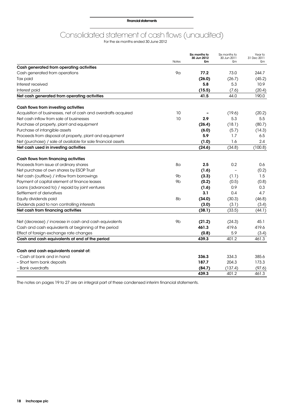## Consolidated statement of cash flows (unaudited) For the six months ended 30 June 2012

|                                                                | <b>Notes</b>   | Six months to<br>30 Jun 2012<br>£m | Six months to<br>30 Jun 2011<br>£m | Year to<br>31 Dec 2011<br>£m |
|----------------------------------------------------------------|----------------|------------------------------------|------------------------------------|------------------------------|
| Cash generated from operating activities                       |                |                                    |                                    |                              |
| Cash generated from operations                                 | 9 <sub>0</sub> | 77.2                               | 73.0                               | 244.7                        |
| Tax paid                                                       |                | (26.0)                             | (26.7)                             | (45.2)                       |
| Interest received                                              |                | 5.8                                | 5.3                                | 10.9                         |
| Interest paid                                                  |                | (15.5)                             | (7.6)                              | (20.4)                       |
| Net cash generated from operating activities                   |                | 41.5                               | 44.0                               | 190.0                        |
| Cash flows from investing activities                           |                |                                    |                                    |                              |
| Acquisition of businesses, net of cash and overdrafts acquired | 10             |                                    | (19.6)                             | (20.2)                       |
| Net cash inflow from sale of businesses                        | 10             | 2.9                                | 5.3                                | 5.5                          |
| Purchase of property, plant and equipment                      |                | (26.4)                             | (18.1)                             | (80.7)                       |
| Purchase of intangible assets                                  |                | (6.0)                              | (5.7)                              | (14.3)                       |
| Proceeds from disposal of property, plant and equipment        |                | 5.9                                | 1.7                                | 6.5                          |
| Net (purchase) / sale of available for sale financial assets   |                | (1.0)                              | 1.6                                | 2.4                          |
| Net cash used in investing activities                          |                | (24.6)                             | (34.8)                             | (100.8)                      |
| Cash flows from financing activities                           |                |                                    |                                    |                              |
| Proceeds from issue of ordinary shares                         | 8 <sub>a</sub> | 2.5                                | 0.2                                | 0.6                          |
| Net purchase of own shares by ESOP Trust                       |                | (1.6)                              |                                    | (0.2)                        |
| Net cash (outflow) / inflow from borrowings                    | 9b             | (3.3)                              | (1.1)                              | 1.5                          |
| Payment of capital element of finance leases                   | 9 <sub>b</sub> | (0.2)                              | (0.5)                              | (0.8)                        |
| Loans (advanced to) / repaid by joint ventures                 |                | (1.6)                              | 0.9                                | 0.3                          |
| Settlement of derivatives                                      |                | 3.1                                | 0.4                                | 4.7                          |
| Equity dividends paid                                          | 8 <sub>b</sub> | (34.0)                             | (30.3)                             | (46.8)                       |
| Dividends paid to non controlling interests                    |                | (3.0)                              | (3.1)                              | (3.4)                        |
| Net cash from financing activities                             |                | (38.1)                             | (33.5)                             | (44.1)                       |
| Net (decrease) / increase in cash and cash equivalents         | 9 <sub>b</sub> | (21.2)                             | (24.3)                             | 45.1                         |
| Cash and cash equivalents at beginning of the period           |                | 461.3                              | 419.6                              | 419.6                        |
| Effect of foreign exchange rate changes                        |                | (0.8)                              | 5.9                                | (3.4)                        |
| Cash and cash equivalents at end of the period                 |                | 439.3                              | 401.2                              | 461.3                        |
| Cash and cash equivalents consist of:                          |                |                                    |                                    |                              |
| - Cash at bank and in hand                                     |                | 336.3                              | 334.3                              | 385.6                        |
| - Short term bank deposits                                     |                | 187.7                              | 204.3                              | 173.3                        |
| - Bank overdrafts                                              |                | (84.7)                             | (137.4)                            | (97.6)                       |
|                                                                |                | 439.3                              | 401.2                              | 461.3                        |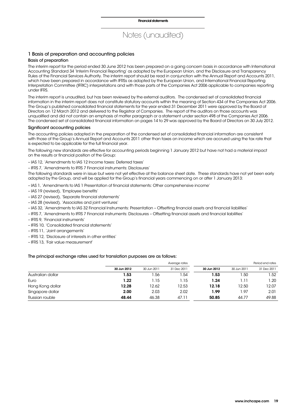Notes (unaudited)

## 1 Basis of preparation and accounting policies

## Basis of preparation

The interim report for the period ended 30 June 2012 has been prepared on a going concern basis in accordance with International Accounting Standard 34 'Interim Financial Reporting' as adopted by the European Union, and the Disclosure and Transparency Rules of the Financial Services Authority. The interim report should be read in conjunction with the Annual Report and Accounts 2011, which have been prepared in accordance with IFRSs as adopted by the European Union, and International Financial Reporting Interpretation Committee (IFRIC) interpretations and with those parts of the Companies Act 2006 applicable to companies reporting under IFRS.

The interim report is unaudited, but has been reviewed by the external auditors. The condensed set of consolidated financial information in the interim report does not constitute statutory accounts within the meaning of Section 434 of the Companies Act 2006. The Group's published consolidated financial statements for the year ended 31 December 2011 were approved by the Board of Directors on 12 March 2012 and delivered to the Registrar of Companies. The report of the auditors on those accounts was unqualified and did not contain an emphasis of matter paragraph or a statement under section 498 of the Companies Act 2006. The condensed set of consolidated financial information on pages 14 to 29 was approved by the Board of Directors on 30 July 2012.

## Significant accounting policies

The accounting policies adopted in the preparation of the condensed set of consolidated financial information are consistent with those of the Group's Annual Report and Accounts 2011 other than taxes on income which are accrued using the tax rate that is expected to be applicable for the full financial year.

The following new standards are effective for accounting periods beginning 1 January 2012 but have not had a material impact on the results or financial position of the Group:

– IAS 12, 'Amendments to IAS 12 Income taxes: Deferred taxes'

– IFRS 7, 'Amendments to IFRS 7 Financial instruments: Disclosures'

The following standards were in issue but were not yet effective at the balance sheet date. These standards have not yet been early adopted by the Group, and will be applied for the Group's financial years commencing on or after 1 January 2013:

- IAS 1, 'Amendments to IAS 1 Presentation of financial statements: Other comprehensive income'
- IAS 19 (revised), 'Employee benefits'
- IAS 27 (revised), 'Separate financial statements'
- IAS 28 (revised), 'Associates and joint ventures'
- IAS 32, 'Amendments to IAS 32 Financial Instruments: Presentation Offsetting financial assets and financial liabilities'
- IFRS 7, 'Amendments to IFRS 7 Financial instruments: Disclosures Offsetting financial assets and financial liabilities'
- IFRS 9, 'Financial instruments'
- IFRS 10, 'Consolidated financial statements'
- IFRS 11, 'Joint arrangements'
- IFRS 12, 'Disclosure of interests in other entities'
- IFRS 13, 'Fair value measurement'

## The principal exchange rates used for translation purposes are as follows:

|                   |             |             | Average rates |             |             | Period end rates |
|-------------------|-------------|-------------|---------------|-------------|-------------|------------------|
|                   | 30 Jun 2012 | 30 Jun 2011 | 31 Dec 2011   | 30 Jun 2012 | 30 Jun 2011 | 31 Dec 2011      |
| Australian dollar | I .53       | .56         | l.54          | 1.53        | 1.50        | .52              |
| Euro              | 22. ا       | .15         | 1.15          | 1.24        | 1.11        | $\overline{20}$  |
| Hong Kong dollar  | 12.28       | 12.62       | 12.53         | 12.18       | 12.50       | 12.07            |
| Singapore dollar  | 2.00        | 2.03        | 2.02          | 1.99        | 1.97        | 2.01             |
| Russian rouble    | 48.44       | 46.38       | 47.11         | 50.85       | 44.77       | 49.88            |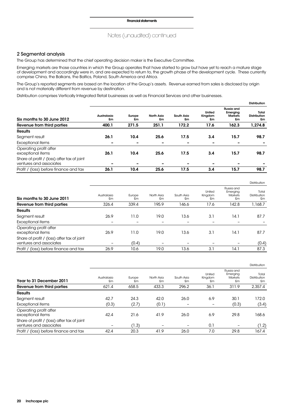### Financial statements

## Notes (unaudited) continued

## 2 Segmental analysis

The Group has determined that the chief operating decision maker is the Executive Committee.

Emerging markets are those countries in which the Group operates that have started to grow but have yet to reach a mature stage of development and accordingly were in, and are expected to return to, the growth phase of the development cycle. These currently comprise China, the Balkans, the Baltics, Poland, South America and Africa.

The Group's reported segments are based on the location of the Group's assets. Revenue earned from sales is disclosed by origin and is not materially different from revenue by destination.

Distribution comprises Vertically Integrated Retail businesses as well as Financial Services and other businesses.

|                                                                        |                          |              |                  |                  |                         |                                                       | <b>Distribution</b>                |
|------------------------------------------------------------------------|--------------------------|--------------|------------------|------------------|-------------------------|-------------------------------------------------------|------------------------------------|
| Six months to 30 June 2012                                             | Australasia<br>£m        | Europe<br>£m | North Asia<br>£m | South Asia<br>£m | United<br>Kingdom<br>£m | <b>Russia and</b><br>Emerging<br><b>Markets</b><br>£m | Total<br><b>Distribution</b><br>£m |
| Revenue from third parties                                             | 400.1                    | 271.5        | 251.1            | 172.2            | 17.6                    | 162.3                                                 | 1,274.8                            |
| <b>Results</b>                                                         |                          |              |                  |                  |                         |                                                       |                                    |
| Segment result                                                         | 26.1                     | 10.4         | 25.6             | 17.5             | 3.4                     | 15.7                                                  | 98.7                               |
| <b>Exceptional items</b>                                               | $\overline{\phantom{0}}$ | -            |                  |                  |                         | $\overline{\phantom{0}}$                              |                                    |
| Operating profit after<br>exceptional items                            | 26.1                     | 10.4         | 25.6             | 17.5             | 3.4                     | 15.7                                                  | 98.7                               |
| Share of profit / (loss) after tax of joint<br>ventures and associates | -                        | -            |                  |                  |                         | $\overline{\phantom{0}}$                              |                                    |
| Profit / (loss) before finance and tax                                 | 26.1                     | 10.4         | 25.6             | 17.5             | 3.4                     | 15.7                                                  | 98.7                               |

|                                                                        |                   |              |                  |                  |                         |                                                | Distribution                |
|------------------------------------------------------------------------|-------------------|--------------|------------------|------------------|-------------------------|------------------------------------------------|-----------------------------|
| Six months to 30 June 2011                                             | Australasia<br>£m | Europe<br>£m | North Asia<br>£m | South Asia<br>£m | United<br>Kingdom<br>£m | Russia and<br>Emerging<br><b>Markets</b><br>£m | Total<br>Distribution<br>£m |
| Revenue from third parties                                             | 326.4             | 339.4        | 195.9            | 146.6            | 17.6                    | 142.8                                          | 1,168.7                     |
| <b>Results</b>                                                         |                   |              |                  |                  |                         |                                                |                             |
| Segment result                                                         | 26.9              | 11.0         | 19.0             | 13.6             | 3.1                     | 14.1                                           | 87.7                        |
| <b>Exceptional items</b>                                               | -                 |              |                  |                  |                         |                                                |                             |
| Operating profit after<br>exceptional items                            | 26.9              | 11.0         | 19.0             | 13.6             | 3.1                     | 14.1                                           | 87.7                        |
| Share of profit / (loss) after tax of joint<br>ventures and associates | -                 | (0.4)        |                  |                  |                         |                                                | (0.4)                       |
| Profit / (loss) before finance and tax                                 | 26.9              | 10.6         | 19.0             | 13.6             | 3.1                     | 14.1                                           | 87.3                        |

|                                                                        |                   |              |                  |                  |                         |                                                | Distribution                |
|------------------------------------------------------------------------|-------------------|--------------|------------------|------------------|-------------------------|------------------------------------------------|-----------------------------|
| Year to 31 December 2011                                               | Australasia<br>£m | Europe<br>£m | North Asia<br>£m | South Asia<br>£m | United<br>Kingdom<br>£m | Russia and<br>Emerging<br><b>Markets</b><br>£m | Total<br>Distribution<br>£m |
| Revenue from third parties                                             | 621.4             | 658.5        | 433.3            | 296.2            | 36.1                    | 311.9                                          | 2,357.4                     |
| <b>Results</b>                                                         |                   |              |                  |                  |                         |                                                |                             |
| Segment result                                                         | 42.7              | 24.3         | 42.0             | 26.0             | 6.9                     | 30.1                                           | 172.0                       |
| Exceptional items                                                      | (0.3)             | (2.7)        | (0.1)            |                  | $\qquad \qquad -$       | (0.3)                                          | (3.4)                       |
| Operating profit after<br>exceptional items                            | 42.4              | 21.6         | 41.9             | 26.0             | 6.9                     | 29.8                                           | 168.6                       |
| Share of profit / (loss) after tax of joint<br>ventures and associates | -                 | (1.3)        |                  | $\qquad \qquad$  | 0.1                     |                                                | (1.2)                       |
| Profit / (loss) before finance and tax                                 | 42.4              | 20.3         | 41.9             | 26.0             | 7.0                     | 29.8                                           | 167.4                       |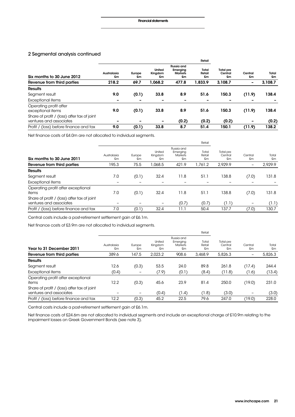## 2 Segmental analysis continued

|                                                                        |                   |              |                         |                                                | Retail                |                                   |               |             |  |  |
|------------------------------------------------------------------------|-------------------|--------------|-------------------------|------------------------------------------------|-----------------------|-----------------------------------|---------------|-------------|--|--|
| Six months to 30 June 2012                                             | Australasia<br>£m | Europe<br>£m | United<br>Kingdom<br>£m | Russia and<br>Emerging<br><b>Markets</b><br>£m | Total<br>Retail<br>£m | <b>Total pre</b><br>Central<br>£m | Central<br>£m | Total<br>£m |  |  |
| Revenue from third parties                                             | 218.2             | 69.7         | 1,068.2                 | 477.8                                          | 1.833.9               | 3,108.7                           | -             | 3,108.7     |  |  |
| <b>Results</b>                                                         |                   |              |                         |                                                |                       |                                   |               |             |  |  |
| Segment result                                                         | 9.0               | (0.1)        | 33.8                    | 8.9                                            | 51.6                  | 150.3                             | (11.9)        | 138.4       |  |  |
| Exceptional items                                                      | -                 | -            | -                       | -                                              |                       | -                                 |               |             |  |  |
| Operating profit after<br>exceptional items                            | 9.0               | (0.1)        | 33.8                    | 8.9                                            | 51.6                  | 150.3                             | (11.9)        | 138.4       |  |  |
| Share of profit / (loss) after tax of joint<br>ventures and associates | -                 | -            | -                       | (0.2)                                          | (0.2)                 | (0.2)                             | -             | (0.2)       |  |  |
| Profit / (loss) before finance and tax                                 | 9.0               | (0.1)        | 33.8                    | 8.7                                            | 51.4                  | 150.1                             | (11.9)        | 138.2       |  |  |

Net finance costs of £4.0m are not allocated to individual segments.

|                                                                        |                   |              |                              |                                                | Retail                |                            |               | Total<br>£m |
|------------------------------------------------------------------------|-------------------|--------------|------------------------------|------------------------------------------------|-----------------------|----------------------------|---------------|-------------|
| Six months to 30 June 2011                                             | Australasia<br>£m | Europe<br>£m | United<br>Kingdom<br>£m      | Russia and<br>Emerging<br><b>Markets</b><br>£m | Total<br>Retail<br>£m | Total pre<br>Central<br>£m | Central<br>£m |             |
| Revenue from third parties                                             | 195.3             | 75.5         | 1,068.5                      | 421.9                                          | 1.761.2               | 2.929.9                    |               | 2,929.9     |
| <b>Results</b>                                                         |                   |              |                              |                                                |                       |                            |               |             |
| Segment result                                                         | 7.0               | (0.1)        | 32.4                         | 11.8                                           | 51.1                  | 138.8                      | (7.0)         | 131.8       |
| Exceptional items                                                      |                   |              |                              |                                                |                       |                            |               |             |
| Operating profit after exceptional<br>items                            | 7.0               | (0.1)        | 32.4                         | 11.8                                           | 51.1                  | 138.8                      | (7.0)         | 131.8       |
| Share of profit / (loss) after tax of joint<br>ventures and associates | -                 | -            | $\qquad \qquad \blacksquare$ | (0.7)                                          | (0.7)                 | (1.1                       | -             | (1.1)       |
| Profit / (loss) before finance and tax                                 | 7.0               | (0.1)        | 32.4                         | 11.1                                           | 50.4                  | 137.7                      | (7.0)         | 130.7       |

Central costs include a post-retirement settlement gain of £6.1m.

Net finance costs of £3.9m are not allocated to individual segments.

|                                                                        |                   |              |                         |                                         | Retail                |                            |                  |             |
|------------------------------------------------------------------------|-------------------|--------------|-------------------------|-----------------------------------------|-----------------------|----------------------------|------------------|-------------|
| Year to 31 December 2011                                               | Australasia<br>£m | Europe<br>£m | United<br>Kingdom<br>£m | Russia and<br>Emerging<br>Markets<br>£m | Total<br>Retail<br>£m | Total pre<br>Central<br>£m | Central<br>\$m\$ | Total<br>£m |
| Revenue from third parties                                             | 389.6             | 147.5        | 2.023.2                 | 908.6                                   | 3,468.9               | 5,826.3                    |                  | 5,826.3     |
| <b>Results</b>                                                         |                   |              |                         |                                         |                       |                            |                  |             |
| Segment result                                                         | 12.6              | (0.3)        | 53.5                    | 24.0                                    | 89.8                  | 261.8                      | (17.4)           | 244.4       |
| Exceptional items                                                      | (0.4)             | -            | (7.9)                   | (0.1)                                   | (8.4)                 | (11.8)                     | (1.6)            | (13.4)      |
| Operating profit after exceptional<br>items                            | 12.2              | (0.3)        | 45.6                    | 23.9                                    | 81.4                  | 250.0                      | (19.0)           | 231.0       |
| Share of profit / (loss) after tax of joint<br>ventures and associates |                   | -            | (0.4)                   | (1.4)                                   | (1.8)                 | (3.0)                      |                  | (3.0)       |
| Profit / (loss) before finance and tax                                 | 12.2              | (0.3)        | 45.2                    | 22.5                                    | 79.6                  | 247.0                      | (19.0)           | 228.0       |

Central costs include a post-retirement settlement gain of £6.1m.

Net finance costs of £24.6m are not allocated to individual segments and include an exceptional charge of £10.9m relating to the impairment losses on Greek Government Bonds (see note 3).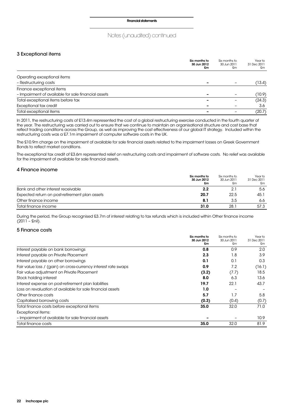## Financial statements

## Notes (unaudited) continued

## 3 Exceptional items

|                                                     | Six months to<br>30 Jun 2012<br>£m | Six months to<br>30 Jun 2011<br>£m | Year to<br>31 Dec 2011<br>£m |
|-----------------------------------------------------|------------------------------------|------------------------------------|------------------------------|
| Operating exceptional items                         |                                    |                                    |                              |
| - Restructuring costs                               |                                    |                                    | (13.4)                       |
| Finance exceptional items                           |                                    |                                    |                              |
| - Impairment of available for sale financial assets |                                    |                                    | (10.9)                       |
| Total exceptional items before tax                  |                                    |                                    | (24.3)                       |
| Exceptional tax credit                              |                                    |                                    | 3.6                          |
| Total exceptional items                             |                                    |                                    | (20.7)                       |

In 2011, the restructuring costs of £13.4m represented the cost of a global restructuring exercise conducted in the fourth quarter of the year. The restructuring was carried out to ensure that we continue to maintain an organisational structure and cost base that reflect trading conditions across the Group, as well as improving the cost effectiveness of our global IT strategy. Included within the restructuring costs was a £7.1m impairment of computer software costs in the UK.

The £10.9m charge on the impairment of available for sale financial assets related to the impairment losses on Greek Government Bonds to reflect market conditions.

The exceptional tax credit of £3.6m represented relief on restructuring costs and impairment of software costs. No relief was available for the impairment of available for sale financial assets.

### 4 Finance income

|                                                | Six months to<br>30 Jun 2012<br>£m | Six months to<br>30 Jun 2011<br>£m | Year to<br>31 Dec 2011<br>£m |
|------------------------------------------------|------------------------------------|------------------------------------|------------------------------|
| Bank and other interest receivable             | 2.2                                |                                    | 5.6                          |
| Expected return on post-retirement plan assets | 20.7                               | 22.5                               | 45.1                         |
| Other finance income                           | 8.1                                | 3.5                                | 6.6                          |
| Total finance income                           | 31.0                               | 28.1                               | 57.3                         |

During the period, the Group recognised £3.7m of interest relating to tax refunds which is included within Other finance income  $(2011 - 5$ nil).

## 5 Finance costs

|                                                                | Six months to<br>30 Jun 2012<br>£m | Six months to<br>30 Jun 2011<br>£m | Year to<br>31 Dec 2011<br>£m |
|----------------------------------------------------------------|------------------------------------|------------------------------------|------------------------------|
| Interest payable on bank borrowings                            | 0.8                                | 0.9                                | 2.0                          |
| Interest payable on Private Placement                          | 2.3                                | 1.8                                | 3.9                          |
| Interest payable on other borrowings                           | 0.1                                | 0.1                                | 0.3                          |
| Fair value loss / (gain) on cross-currency interest rate swaps | 0.9                                | 7.2                                | (16.1)                       |
| Fair value adjustment on Private Placement                     | (3.2)                              | (7.7)                              | 18.5                         |
| Stock holding interest                                         | 8.0                                | 6.3                                | 13.6                         |
| Interest expense on post-retirement plan liabilities           | 19.7                               | 22.1                               | 43.7                         |
| Loss on revaluation of available for sale financial assets     | 1.0                                |                                    |                              |
| Other finance costs                                            | 5.7                                | 1.7                                | 5.8                          |
| Capitalised borrowing costs                                    | (0.3)                              | (0.4)                              | (0.7)                        |
| Total finance costs before exceptional items                   | 35.0                               | 32.0                               | 71.0                         |
| Exceptional items:                                             |                                    |                                    |                              |
| - Impairment of available for sale financial assets            |                                    |                                    | 10.9                         |
| Total finance costs                                            | 35.0                               | 32.0                               | 81.9                         |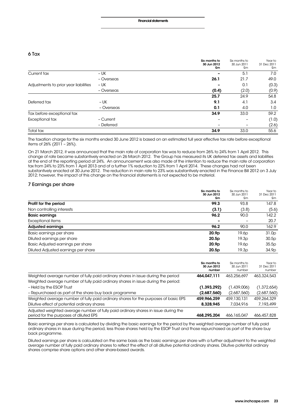## 6 Tax

|                                       |            | Six months to<br>30 Jun 2012<br>£m | Six months to<br>30 Jun 2011<br>£m | Year to<br>31 Dec 2011<br>£m |
|---------------------------------------|------------|------------------------------------|------------------------------------|------------------------------|
| Current tax                           | $- UK$     |                                    | 5.1                                | 7.0                          |
|                                       | - Overseas | 26.1                               | 21.7                               | 49.0                         |
| Adjustments to prior year liabilities | $- UK$     |                                    | 0.1                                | (0.3)                        |
|                                       | - Overseas | (0.4)                              | (2.0)                              | (0.9)                        |
|                                       |            | 25.7                               | 24.9                               | 54.8                         |
| Deferred tax                          | – UK       | 9.1                                | 4.1                                | 3.4                          |
|                                       | - Overseas | 0.1                                | 4.0                                | 1.0                          |
| Tax before exceptional tax            |            | 34.9                               | 33.0                               | 59.2                         |
| Exceptional tax                       | - Current  |                                    |                                    | (1.0)                        |
|                                       | - Deferred |                                    | -                                  | (2.6)                        |
| <b>Total tax</b>                      |            | 34.9                               | 33.0                               | 55.6                         |

The taxation charge for the six months ended 30 June 2012 is based on an estimated full year effective tax rate before exceptional items of  $26\%$  (2011 – 26%).

On 21 March 2012, it was announced that the main rate of corporation tax was to reduce from 26% to 24% from 1 April 2012. This change of rate became substantively enacted on 26 March 2012. The Group has measured its UK deferred tax assets and liabilities at the end of the reporting period at 24%. An announcement was also made of the intention to reduce the main rate of corporation tax from 24% to 23% from 1 April 2013 and of a further 1% reduction to 22% from 1 April 2014. These changes had not been substantively enacted at 30 June 2012. The reduction in main rate to 23% was substantively enacted in the Finance Bill 2012 on 3 July 2012; however, the impact of this change on the financial statements is not expected to be material.

## 7 Earnings per share

|                                     | Six months to<br>30 Jun 2012<br>£m | Six months to<br>30 Jun 2011<br>£m | Year to<br>31 Dec 2011<br>£m |
|-------------------------------------|------------------------------------|------------------------------------|------------------------------|
| Profit for the period               | 99.3                               | 93.8                               | 147.8                        |
| Non controlling interests           | (3.1)                              | (3.8)                              | (5.6)                        |
| <b>Basic earnings</b>               | 96.2                               | 90.0                               | 142.2                        |
| Exceptional items                   |                                    |                                    | 20.7                         |
| <b>Adjusted earnings</b>            | 96.2                               | 90.0                               | 162.9                        |
| Basic earnings per share            | 20.9 <sub>p</sub>                  | 19.6 <sub>p</sub>                  | 31.0 <sub>p</sub>            |
| Diluted earnings per share          | 20.5p                              | 19.3p                              | 30.5p                        |
| Basic Adjusted earnings per share   | 20.9 <sub>p</sub>                  | 19.6 <sub>p</sub>                  | 35.5p                        |
| Diluted Adjusted earnings per share | 20.5p                              | 19.3 <sub>D</sub>                  | 34.9p                        |

|                                                                                                                              | Six months to<br>30 Jun 2012<br>number | Six months to<br>30 Jun 2011<br>number | Year to<br>31 Dec 2011<br>number |
|------------------------------------------------------------------------------------------------------------------------------|----------------------------------------|----------------------------------------|----------------------------------|
| Weighted average number of fully paid ordinary shares in issue during the period                                             | 464,047,111                            | 463,256,697                            | 463,324,543                      |
| Weighted average number of fully paid ordinary shares in issue during the period:                                            |                                        |                                        |                                  |
| - Held by the ESOP Trust                                                                                                     | (1, 393, 292)                          | (1,439,006)                            | (1,372,654)                      |
| - Repurchased as part of the share buy back programme                                                                        | (2,687,560)                            | (2,687,560)                            | (2,687,560)                      |
| Weighted average number of fully paid ordinary shares for the purposes of basic EPS                                          | 459,966,259                            | 459,130,131                            | 459,264,329                      |
| Dilutive effect of potential ordinary shares                                                                                 | 8.328,945                              | 7.034.916                              | 7.193.499                        |
| Adjusted weighted average number of fully paid ordinary shares in issue during the<br>period for the purposes of diluted EPS | 468,295,204                            | 466,165,047                            | 466,457,828                      |

Basic earnings per share is calculated by dividing the basic earnings for the period by the weighted average number of fully paid ordinary shares in issue during the period, less those shares held by the ESOP Trust and those repurchased as part of the share buy back programme.

Diluted earnings per share is calculated on the same basis as the basic earnings per share with a further adjustment to the weighted average number of fully paid ordinary shares to reflect the effect of all dilutive potential ordinary shares. Dilutive potential ordinary shares comprise share options and other share-based awards.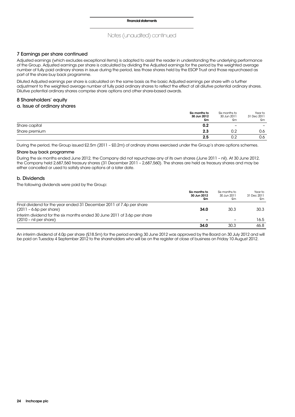## Financial statements

## Notes (unaudited) continued

## 7 Earnings per share continued

Adjusted earnings (which excludes exceptional items) is adopted to assist the reader in understanding the underlying performance of the Group. Adjusted earnings per share is calculated by dividing the Adjusted earnings for the period by the weighted average number of fully paid ordinary shares in issue during the period, less those shares held by the ESOP Trust and those repurchased as part of the share buy back programme.

Diluted Adjusted earnings per share is calculated on the same basis as the basic Adjusted earnings per share with a further adjustment to the weighted average number of fully paid ordinary shares to reflect the effect of all dilutive potential ordinary shares. Dilutive potential ordinary shares comprise share options and other share-based awards.

## 8 Shareholders' equity

## a. Issue of ordinary shares

|               | Six months to<br>30 Jun 2012<br>£m | Six months to<br>30 Jun 2011<br>£m | Year to<br>31 Dec 2011<br>£m |
|---------------|------------------------------------|------------------------------------|------------------------------|
| Share capital | 0.2                                | $\overline{\phantom{0}}$           | -                            |
| Share premium | 2.3                                |                                    | 0.6                          |
|               | 2.5                                |                                    | 0.6                          |

During the period, the Group issued £2.5m (2011 – £0.2m) of ordinary shares exercised under the Group's share options schemes.

#### Share buy back programme

During the six months ended June 2012, the Company did not repurchase any of its own shares (June 2011 – nil). At 30 June 2012, the Company held 2,687,560 treasury shares (31 December 2011 – 2,687,560). The shares are held as treasury shares and may be either cancelled or used to satisfy share options at a later date.

## b. Dividends

The following dividends were paid by the Group:

|                                                                          | Six months to<br>30 Jun 2012<br>£m | Six months to<br>30 Jun 2011<br>£m | Year to<br>31 Dec 2011<br>£m |
|--------------------------------------------------------------------------|------------------------------------|------------------------------------|------------------------------|
| Final dividend for the year ended 31 December 2011 of 7.4p per share     |                                    |                                    |                              |
| $(2011 - 6.6p \text{ per share})$                                        | 34.0                               | 30.3                               | 30.3                         |
| Interim dividend for the six months ended 30 June 2011 of 3.6p per share |                                    |                                    |                              |
| $(2010 - nil per share)$                                                 |                                    | -                                  | 16.5                         |
|                                                                          | 34.0                               | 30.3                               | 46.8                         |

An interim dividend of 4.0p per share (£18.5m) for the period ending 30 June 2012 was approved by the Board on 30 July 2012 and will be paid on Tuesday 4 September 2012 to the shareholders who will be on the register at close of business on Friday 10 August 2012.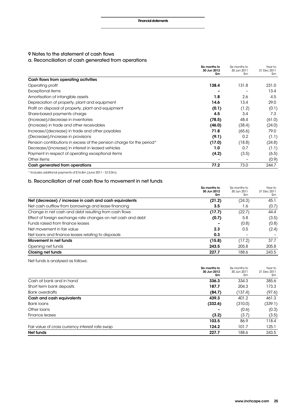## 9 Notes to the statement of cash flows

## a. Reconciliation of cash generated from operations

|                                                                       | Six months to<br>30 Jun 2012 | Six months to<br>30 Jun 2011 | Year to<br>31 Dec 2011 |
|-----------------------------------------------------------------------|------------------------------|------------------------------|------------------------|
|                                                                       | £m                           | £m                           | £m                     |
| Cash flows from operating activities                                  |                              |                              |                        |
| Operating profit                                                      | 138.4                        | 131.8                        | 231.0                  |
| Exceptional items                                                     |                              |                              | 13.4                   |
| Amortisation of intangible assets                                     | 1.8                          | 2.6                          | 4.5                    |
| Depreciation of property, plant and equipment                         | 14.6                         | 13.4                         | 29.0                   |
| Profit on disposal of property, plant and equipment                   | (0.1)                        | (1.2)                        | (0.1)                  |
| Share-based payments charge                                           | 4.5                          | 3.4                          | 7.3                    |
| (Increase)/decrease in inventories                                    | (78.5)                       | 48.4                         | (61.0)                 |
| (Increase) in trade and other receivables                             | (46.0)                       | (38.4)                       | (24.0)                 |
| Increase/(decrease) in trade and other payables                       | 71.8                         | (65.6)                       | 79.0                   |
| (Decrease)/increase in provisions                                     | (9.1)                        | 0.2                          | (1.1)                  |
| Pension contributions in excess of the pension charge for the period* | (17.0)                       | (18.8)                       | (24.8)                 |
| Decrease/(increase) in interest in leased vehicles                    | 1.0                          | 0.7                          | (1.1)                  |
| Payment in respect of operating exceptional items                     | (4.2)                        | (3.5)                        | (6.5)                  |
| Other items                                                           |                              |                              | (0.9)                  |
| Cash generated from operations                                        | 77.2                         | 73.0                         | 244.7                  |

\* Includes additional payments of £16.8m (June 2011 – £13.0m).

## b. Reconciliation of net cash flow to movement in net funds

|                                                              | Six months to<br>30 Jun 2012 | Six months to<br>30 Jun 2011 | Year to<br>31 Dec 2011 |
|--------------------------------------------------------------|------------------------------|------------------------------|------------------------|
|                                                              | £m                           | £m                           | £m                     |
| Net (decrease) / increase in cash and cash equivalents       | (21.2)                       | (24.3)                       | 45.1                   |
| Net cash outflow from borrowings and lease financing         | 3.5                          | 1.6                          | (0.7)                  |
| Change in net cash and debt resulting from cash flows        | (17.7)                       | (22.7)                       | 44.4                   |
| Effect of foreign exchange rate changes on net cash and debt | (0.7)                        | 5.8                          | (3.5)                  |
| Funds raised from finance leases                             |                              | (0.8)                        | (0.8)                  |
| Net movement in fair value                                   | 2.3                          | 0.5                          | (2.4)                  |
| Net loans and finance leases relating to disposals           | 0.3                          |                              |                        |
| Movement in net funds                                        | (15.8)                       | (17.2)                       | 37.7                   |
| Opening net funds                                            | 243.5                        | 205.8                        | 205.8                  |
| Closing net funds                                            | 227.7                        | 188.6                        | 243.5                  |

Net funds is analysed as follows:

|                                                 | Six months to<br>30 Jun 2012<br>£m | Six months to<br>30 Jun 2011<br>£m | Year to<br>31 Dec 2011<br>£m |
|-------------------------------------------------|------------------------------------|------------------------------------|------------------------------|
| Cash at bank and in hand                        | 336.3                              | 334.3                              | 385.6                        |
| Short term bank deposits                        | 187.7                              | 204.3                              | 173.3                        |
| <b>Bank overdrafts</b>                          | (84.7)                             | (137.4)                            | (97.6)                       |
| Cash and cash equivalents                       | 439.3                              | 401.2                              | 461.3                        |
| <b>Bank loans</b>                               | (332.6)                            | (310.0)                            | (339.1)                      |
| Other loans                                     |                                    | (0.6)                              | (0.3)                        |
| Finance leases                                  | (3.2)                              | (3.7)                              | (3.5)                        |
|                                                 | 103.5                              | 86.9                               | 118.4                        |
| Fair value of cross currency interest rate swap | 124.2                              | 101.7                              | 125.1                        |
| Net funds                                       | 227.7                              | 188.6                              | 243.5                        |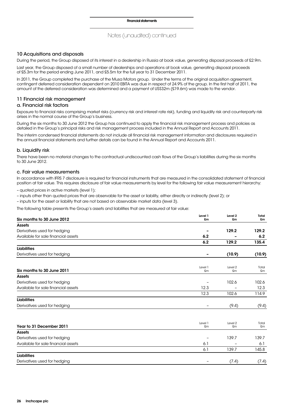## Financial statements

## Notes (unaudited) continued

## 10 Acquisitions and disposals

During the period, the Group disposed of its interest in a dealership in Russia at book value, generating disposal proceeds of £2.9m.

Last year, the Group disposed of a small number of dealerships and operations at book value, generating disposal proceeds of £5.3m for the period ending June 2011, and £5.5m for the full year to 31 December 2011.

In 2011, the Group completed the purchase of the Musa Motors group. Under the terms of the original acquisition agreement, contingent deferred consideration dependent on 2010 EBITA was due in respect of 24.9% of the group. In the first half of 2011, the amount of the deferred consideration was determined and a payment of US\$32m (£19.6m) was made to the vendor.

## 11 Financial risk management

## a. Financial risk factors

Exposure to financial risks comprising market risks (currency risk and interest rate risk), funding and liquidity risk and counterparty risk arises in the normal course of the Group's business.

During the six months to 30 June 2012 the Group has continued to apply the financial risk management process and policies as detailed in the Group's principal risks and risk management process included in the Annual Report and Accounts 2011.

The interim condensed financial statements do not include all financial risk management information and disclosures required in the annual financial statements and further details can be found in the Annual Report and Accounts 2011.

## b. Liquidity risk

There have been no material changes to the contractual undiscounted cash flows of the Group's liabilities during the six months to 30 June 2012.

## c. Fair value measurements

In accordance with IFRS 7 disclosure is required for financial instruments that are measured in the consolidated statement of financial position at fair value. This requires disclosure of fair value measurements by level for the following fair value measurement hierarchy:

– quoted prices in active markets (level 1);

- inputs other than quoted prices that are observable for the asset or liability, either directly or indirectly (level 2); or
- inputs for the asset or liability that are not based on observable market data (level 3).

The following table presents the Group's assets and liabilities that are measured at fair value:

| Six months to 30 June 2012          | Level 1<br>£m | Level 2<br>£m | Total<br>£m |
|-------------------------------------|---------------|---------------|-------------|
| <b>Assets</b>                       |               |               |             |
| Derivatives used for hedging        |               | 129.2         | 129.2       |
| Available for sale financial assets | 6.2           |               | 6.2         |
|                                     | 6.2           | 129.2         | 135.4       |
| <b>Liabilities</b>                  |               |               |             |
| Derivatives used for hedging        |               | (10.9)        | (10.9)      |
| Six months to 30 June 2011          | Level 1<br>£m | Level 2<br>£m | Total<br>£m |
| Assets                              |               |               |             |
| Derivatives used for hedging        |               | 102.6         | 102.6       |
| Available for sale financial assets | 12.3          |               | 12.3        |
|                                     | 12.3          | 102.6         | 114.9       |
| <b>Liabilities</b>                  |               |               |             |
| Derivatives used for hedging        |               | (9.4)         | (9.4)       |
| Year to 31 December 2011            | Level 1<br>£m | Level 2<br>£m | Total<br>£m |
| <b>Assets</b>                       |               |               |             |
| Derivatives used for hedging        |               | 139.7         | 139.7       |
| Available for sale financial assets | 6.1           |               | 6.1         |
|                                     | 6.1           | 139.7         | 145.8       |
| <b>Liabilities</b>                  |               |               |             |
| Derivatives used for hedging        |               | (7.4)         | (7.4)       |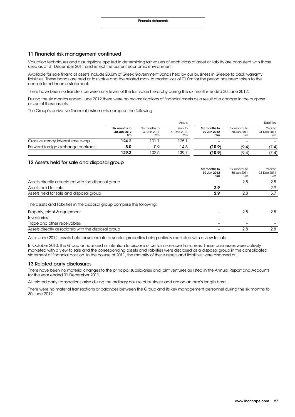## 11 Financial risk management continued

Valuation techniques and assumptions applied in determining fair values of each class of asset or liability are consistent with those used as at 31 December 2011 and reflect the current economic environment.

Available for sale financial assets include £3.0m of Greek Government Bonds held by our business in Greece to back warranty liabilities. These bonds are held at fair value and the related mark to market loss of £1.0m for the period has been taken to the consolidated income statement.

There have been no transfers between any levels of the fair value hierarchy during the six months ended 30 June 2012.

During the six months ended June 2012 there were no reclassifications of financial assets as a result of a change in the purpose or use of these assets.

The Group's derivative financial instruments comprise the following:

|                                    |                                    |                                    | Assets                       |                                    |                                    | Liabilities                  |
|------------------------------------|------------------------------------|------------------------------------|------------------------------|------------------------------------|------------------------------------|------------------------------|
|                                    | Six months to<br>30 Jun 2012<br>£m | Six months to<br>30 Jun 2011<br>£m | Year to<br>31 Dec 2011<br>£m | Six months to<br>30 Jun 2012<br>£m | Six months to<br>30 Jun 2011<br>£m | Year to<br>31 Dec 2011<br>£m |
| Cross currency interest rate swap  | 124.2                              | 101.7                              | 125.1                        | -                                  | $\overline{\phantom{0}}$           |                              |
| Forward foreign exchange contracts | 5.0                                | 0.9                                | 14.6                         | (10.9)                             | (9.4)                              | (7.4)                        |
|                                    | 129.2                              | 102.6                              | 139.7                        | (10.9)                             | (9.4)                              | (7.4)                        |

## 12 Assets held for sale and disposal group

|                                                    | Six months to<br>30 Jun 2012<br>£m | Six months to<br>30 Jun 2011<br>£m | Year to<br>31 Dec 2011<br>£m |
|----------------------------------------------------|------------------------------------|------------------------------------|------------------------------|
| Assets directly associated with the disposal group | -                                  | 2.8                                | 2.8                          |
| Assets held for sale                               | 2.9                                | $\overline{\phantom{0}}$           | 2.9                          |
| Assets held for sale and disposal group            | 2.9                                | 2.8                                |                              |

The assets and liabilities in the disposal group comprise the following:

| Property, plant & equipment                        |   |   | 2.8 |
|----------------------------------------------------|---|---|-----|
| Inventories                                        | - | - |     |
| Trade and other receivables                        | - | - |     |
| Assets directly associated with the disposal group |   |   |     |

As at June 2012, assets held for sale relate to surplus properties being actively marketed with a view to sale.

In October 2010, the Group announced its intention to dispose of certain non-core franchises. These businesses were actively marketed with a view to sale and the corresponding assets and liabilities were disclosed as a disposal group in the consolidated statement of financial position. In the course of 2011, the majority of these assets and liabilities were disposed of.

## 13 Related party disclosures

There have been no material changes to the principal subsidiaries and joint ventures as listed in the Annual Report and Accounts for the year ended 31 December 2011.

All related party transactions arise during the ordinary course of business and are on an arm's length basis.

There were no material transactions or balances between the Group and its key management personnel during the six months to 30 June 2012.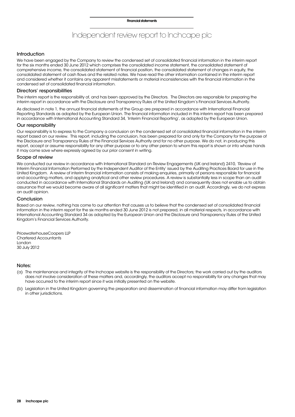# Independent review report to Inchcape plc

## Introduction

We have been engaged by the Company to review the condensed set of consolidated financial information in the interim report for the six months ended 30 June 2012 which comprises the consolidated income statement, the consolidated statement of comprehensive income, the consolidated statement of financial position, the consolidated statement of changes in equity, the consolidated statement of cash flows and the related notes. We have read the other information contained in the interim report and considered whether it contains any apparent misstatements or material inconsistencies with the financial information in the condensed set of consolidated financial information.

### Directors' responsibilities

The interim report is the responsibility of, and has been approved by the Directors. The Directors are responsible for preparing the interim report in accordance with the Disclosure and Transparency Rules of the United Kingdom's Financial Services Authority.

As disclosed in note 1, the annual financial statements of the Group are prepared in accordance with International Financial Reporting Standards as adopted by the European Union. The financial information included in this interim report has been prepared in accordance with International Accounting Standard 34, 'Interim Financial Reporting', as adopted by the European Union.

## Our responsibility

Our responsibility is to express to the Company a conclusion on the condensed set of consolidated financial information in the interim report based on our review. This report, including the conclusion, has been prepared for and only for the Company for the purpose of the Disclosure and Transparency Rules of the Financial Services Authority and for no other purpose. We do not, in producing this report, accept or assume responsibility for any other purpose or to any other person to whom this report is shown or into whose hands it may come save where expressly agreed by our prior consent in writing.

## Scope of review

We conducted our review in accordance with International Standard on Review Engagements (UK and Ireland) 2410, 'Review of Interim Financial Information Performed by the Independent Auditor of the Entity' issued by the Auditing Practices Board for use in the United Kingdom. A review of interim financial information consists of making enquiries, primarily of persons responsible for financial and accounting matters, and applying analytical and other review procedures. A review is substantially less in scope than an audit conducted in accordance with International Standards on Auditing (UK and Ireland) and consequently does not enable us to obtain assurance that we would become aware of all significant matters that might be identified in an audit. Accordingly, we do not express an audit opinion.

## **Conclusion**

Based on our review, nothing has come to our attention that causes us to believe that the condensed set of consolidated financial information in the interim report for the six months ended 30 June 2012 is not prepared, in all material respects, in accordance with International Accounting Standard 34 as adopted by the European Union and the Disclosure and Transparency Rules of the United Kingdom's Financial Services Authority.

PricewaterhouseCoopers LLP Chartered Accountants London 30 July 2012

### Notes:

- (a) The maintenance and integrity of the Inchcape website is the responsibility of the Directors; the work carried out by the auditors does not involve consideration of these matters and, accordingly, the auditors accept no responsibility for any changes that may have occurred to the interim report since it was initially presented on the website.
- (b) Legislation in the United Kingdom governing the preparation and dissemination of financial information may differ from legislation in other jurisdictions.